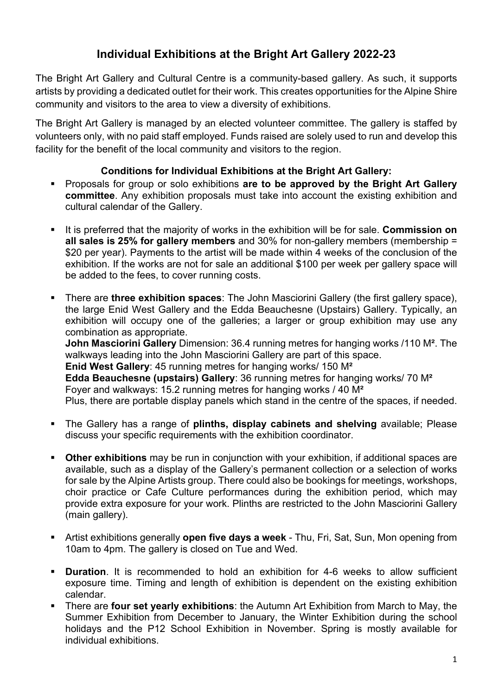## **Individual Exhibitions at the Bright Art Gallery 2022-23**

The Bright Art Gallery and Cultural Centre is a community-based gallery. As such, it supports artists by providing a dedicated outlet for their work. This creates opportunities for the Alpine Shire community and visitors to the area to view a diversity of exhibitions.

The Bright Art Gallery is managed by an elected volunteer committee. The gallery is staffed by volunteers only, with no paid staff employed. Funds raised are solely used to run and develop this facility for the benefit of the local community and visitors to the region.

## **Conditions for Individual Exhibitions at the Bright Art Gallery:**

- § Proposals for group or solo exhibitions **are to be approved by the Bright Art Gallery committee**. Any exhibition proposals must take into account the existing exhibition and cultural calendar of the Gallery.
- It is preferred that the majority of works in the exhibition will be for sale. **Commission on all sales is 25% for gallery members** and 30% for non-gallery members (membership = \$20 per year). Payments to the artist will be made within 4 weeks of the conclusion of the exhibition. If the works are not for sale an additional \$100 per week per gallery space will be added to the fees, to cover running costs.
- § There are **three exhibition spaces**: The John Masciorini Gallery (the first gallery space), the large Enid West Gallery and the Edda Beauchesne (Upstairs) Gallery. Typically, an exhibition will occupy one of the galleries; a larger or group exhibition may use any combination as appropriate. **John Masciorini Gallery** Dimension: 36.4 running metres for hanging works /110 M**²**. The walkways leading into the John Masciorini Gallery are part of this space. **Enid West Gallery**: 45 running metres for hanging works/ 150 M**² Edda Beauchesne (upstairs) Gallery**: 36 running metres for hanging works/ 70 M**²**

Foyer and walkways: 15.2 running metres for hanging works / 40 M**²**

Plus, there are portable display panels which stand in the centre of the spaces, if needed.

- § The Gallery has a range of **plinths, display cabinets and shelving** available; Please discuss your specific requirements with the exhibition coordinator.
- **Other exhibitions** may be run in conjunction with your exhibition, if additional spaces are available, such as a display of the Gallery's permanent collection or a selection of works for sale by the Alpine Artists group. There could also be bookings for meetings, workshops, choir practice or Cafe Culture performances during the exhibition period, which may provide extra exposure for your work. Plinths are restricted to the John Masciorini Gallery (main gallery).
- § Artist exhibitions generally **open five days a week** Thu, Fri, Sat, Sun, Mon opening from 10am to 4pm. The gallery is closed on Tue and Wed.
- **Duration**. It is recommended to hold an exhibition for 4-6 weeks to allow sufficient exposure time. Timing and length of exhibition is dependent on the existing exhibition calendar.
- § There are **four set yearly exhibitions**: the Autumn Art Exhibition from March to May, the Summer Exhibition from December to January, the Winter Exhibition during the school holidays and the P12 School Exhibition in November. Spring is mostly available for individual exhibitions.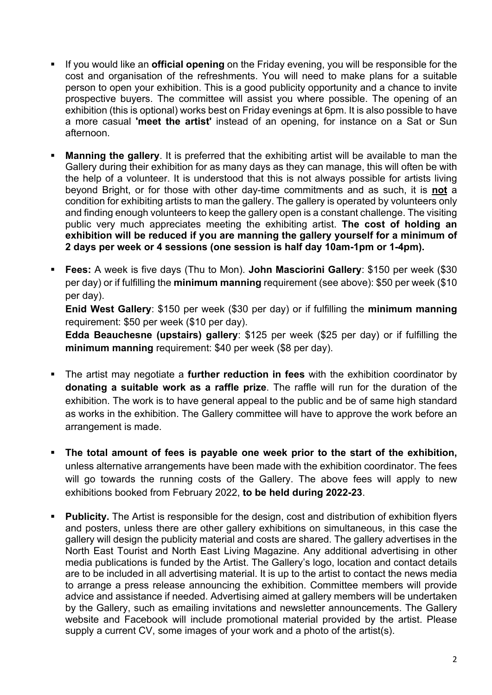- § If you would like an **official opening** on the Friday evening, you will be responsible for the cost and organisation of the refreshments. You will need to make plans for a suitable person to open your exhibition. This is a good publicity opportunity and a chance to invite prospective buyers. The committee will assist you where possible. The opening of an exhibition (this is optional) works best on Friday evenings at 6pm. It is also possible to have a more casual **'meet the artist'** instead of an opening, for instance on a Sat or Sun afternoon.
- **Manning the gallery**. It is preferred that the exhibiting artist will be available to man the Gallery during their exhibition for as many days as they can manage, this will often be with the help of a volunteer. It is understood that this is not always possible for artists living beyond Bright, or for those with other day-time commitments and as such, it is **not** a condition for exhibiting artists to man the gallery. The gallery is operated by volunteers only and finding enough volunteers to keep the gallery open is a constant challenge. The visiting public very much appreciates meeting the exhibiting artist. **The cost of holding an exhibition will be reduced if you are manning the gallery yourself for a minimum of 2 days per week or 4 sessions (one session is half day 10am-1pm or 1-4pm).**
- § **Fees:** A week is five days (Thu to Mon). **John Masciorini Gallery**: \$150 per week (\$30 per day) or if fulfilling the **minimum manning** requirement (see above): \$50 per week (\$10 per day).

**Enid West Gallery**: \$150 per week (\$30 per day) or if fulfilling the **minimum manning** requirement: \$50 per week (\$10 per day).

**Edda Beauchesne (upstairs) gallery**: \$125 per week (\$25 per day) or if fulfilling the **minimum manning** requirement: \$40 per week (\$8 per day).

- § The artist may negotiate a **further reduction in fees** with the exhibition coordinator by **donating a suitable work as a raffle prize**. The raffle will run for the duration of the exhibition. The work is to have general appeal to the public and be of same high standard as works in the exhibition. The Gallery committee will have to approve the work before an arrangement is made.
- § **The total amount of fees is payable one week prior to the start of the exhibition,**  unless alternative arrangements have been made with the exhibition coordinator. The fees will go towards the running costs of the Gallery. The above fees will apply to new exhibitions booked from February 2022, **to be held during 2022-23**.
- **Publicity.** The Artist is responsible for the design, cost and distribution of exhibition flyers and posters, unless there are other gallery exhibitions on simultaneous, in this case the gallery will design the publicity material and costs are shared. The gallery advertises in the North East Tourist and North East Living Magazine. Any additional advertising in other media publications is funded by the Artist. The Gallery's logo, location and contact details are to be included in all advertising material. It is up to the artist to contact the news media to arrange a press release announcing the exhibition. Committee members will provide advice and assistance if needed. Advertising aimed at gallery members will be undertaken by the Gallery, such as emailing invitations and newsletter announcements. The Gallery website and Facebook will include promotional material provided by the artist. Please supply a current CV, some images of your work and a photo of the artist(s).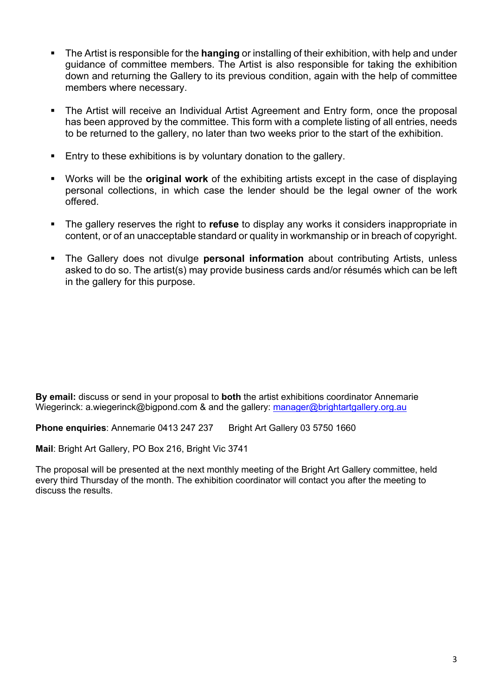- § The Artist is responsible for the **hanging** or installing of their exhibition, with help and under guidance of committee members. The Artist is also responsible for taking the exhibition down and returning the Gallery to its previous condition, again with the help of committee members where necessary.
- The Artist will receive an Individual Artist Agreement and Entry form, once the proposal has been approved by the committee. This form with a complete listing of all entries, needs to be returned to the gallery, no later than two weeks prior to the start of the exhibition.
- Entry to these exhibitions is by voluntary donation to the gallery.
- § Works will be the **original work** of the exhibiting artists except in the case of displaying personal collections, in which case the lender should be the legal owner of the work offered.
- § The gallery reserves the right to **refuse** to display any works it considers inappropriate in content, or of an unacceptable standard or quality in workmanship or in breach of copyright.
- § The Gallery does not divulge **personal information** about contributing Artists, unless asked to do so. The artist(s) may provide business cards and/or résumés which can be left in the gallery for this purpose.

**By email:** discuss or send in your proposal to **both** the artist exhibitions coordinator Annemarie Wiegerinck: a.wiegerinck@bigpond.com & and the gallery: manager@brightartgallery.org.au

**Phone enquiries**: Annemarie 0413 247 237 Bright Art Gallery 03 5750 1660

**Mail**: Bright Art Gallery, PO Box 216, Bright Vic 3741

The proposal will be presented at the next monthly meeting of the Bright Art Gallery committee, held every third Thursday of the month. The exhibition coordinator will contact you after the meeting to discuss the results.